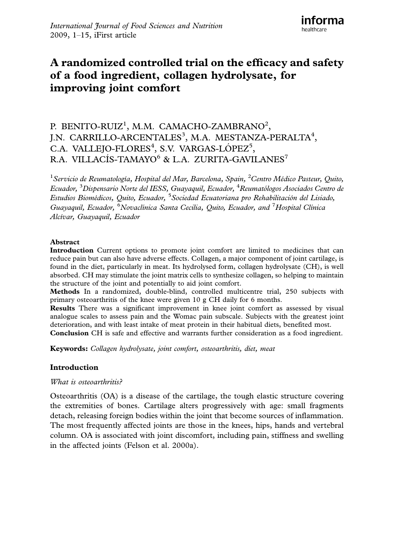# A randomized controlled trial on the efficacy and safety of a food ingredient, collagen hydrolysate, for improving joint comfort

# P. BENITO-RUIZ<sup>1</sup>, M.M. CAMACHO-ZAMBRANO<sup>2</sup>, J.N. CARRILLO-ARCENTALES<sup>3</sup>, M.A. MESTANZA-PERALTA<sup>4</sup>, C.A. VALLEJO-FLORES<sup>4</sup>, S.V. VARGAS-LÓPEZ<sup>5</sup>, R.A. VILLACÍS-TAMAYO<sup>6</sup> & L.A. ZURITA-GAVILANES<sup>7</sup>

<sup>1</sup> Servicio de Reumatología, Hospital del Mar, Barcelona, Spain, <sup>2</sup> Centro Médico Pasteur, Quito, Ecuador, <sup>3</sup>Dispensario Norte del IESS, Guayaquil, Ecuador, <sup>4</sup>Reumatólogos Asociados Centro de Estudios Biomédicos, Quito, Ecuador, <sup>5</sup> Sociedad Ecuatoriana pro Rehabilitación del Lisiado, Guayaquil, Ecuador, <sup>6</sup>Novaclínica Santa Cecilia, Quito, Ecuador, and <sup>7</sup>Hospital Clínica Alcívar, Guayaquil, Ecuador

## Abstract

Introduction Current options to promote joint comfort are limited to medicines that can reduce pain but can also have adverse effects. Collagen, a major component of joint cartilage, is found in the diet, particularly in meat. Its hydrolysed form, collagen hydrolysate (CH), is well absorbed. CH may stimulate the joint matrix cells to synthesize collagen, so helping to maintain the structure of the joint and potentially to aid joint comfort.

Methods In a randomized, double-blind, controlled multicentre trial, 250 subjects with primary osteoarthritis of the knee were given 10 g CH daily for 6 months.

Results There was a significant improvement in knee joint comfort as assessed by visual analogue scales to assess pain and the Womac pain subscale. Subjects with the greatest joint deterioration, and with least intake of meat protein in their habitual diets, benefited most.

Conclusion CH is safe and effective and warrants further consideration as a food ingredient.

Keywords: Collagen hydrolysate, joint comfort, osteoarthritis, diet, meat

# Introduction

# What is osteoarthritis?

Osteoarthritis (OA) is a disease of the cartilage, the tough elastic structure covering the extremities of bones. Cartilage alters progressively with age: small fragments detach, releasing foreign bodies within the joint that become sources of inflammation. The most frequently affected joints are those in the knees, hips, hands and vertebral column. OA is associated with joint discomfort, including pain, stiffness and swelling in the affected joints (Felson et al. 2000a).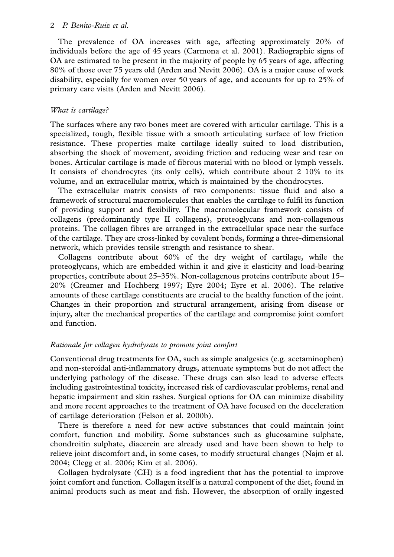## 2 P. Benito-Ruiz et al.

The prevalence of OA increases with age, affecting approximately 20% of individuals before the age of 45 years (Carmona et al. 2001). Radiographic signs of OA are estimated to be present in the majority of people by 65 years of age, affecting 80% of those over 75 years old (Arden and Nevitt 2006). OA is a major cause of work disability, especially for women over 50 years of age, and accounts for up to 25% of primary care visits (Arden and Nevitt 2006).

## What is cartilage?

The surfaces where any two bones meet are covered with articular cartilage. This is a specialized, tough, flexible tissue with a smooth articulating surface of low friction resistance. These properties make cartilage ideally suited to load distribution, absorbing the shock of movement, avoiding friction and reducing wear and tear on bones. Articular cartilage is made of fibrous material with no blood or lymph vessels. It consists of chondrocytes (its only cells), which contribute about  $2-10\%$  to its volume, and an extracellular matrix, which is maintained by the chondrocytes.

The extracellular matrix consists of two components: tissue fluid and also a framework of structural macromolecules that enables the cartilage to fulfil its function of providing support and flexibility. The macromolecular framework consists of collagens (predominantly type II collagens), proteoglycans and non-collagenous proteins. The collagen fibres are arranged in the extracellular space near the surface of the cartilage. They are cross-linked by covalent bonds, forming a three-dimensional network, which provides tensile strength and resistance to shear.

Collagens contribute about 60% of the dry weight of cartilage, while the proteoglycans, which are embedded within it and give it elasticity and load-bearing properties, contribute about 25-35%. Non-collagenous proteins contribute about 15- 20% (Creamer and Hochberg 1997; Eyre 2004; Eyre et al. 2006). The relative amounts of these cartilage constituents are crucial to the healthy function of the joint. Changes in their proportion and structural arrangement, arising from disease or injury, alter the mechanical properties of the cartilage and compromise joint comfort and function.

# Rationale for collagen hydrolysate to promote joint comfort

Conventional drug treatments for OA, such as simple analgesics (e.g. acetaminophen) and non-steroidal anti-inflammatory drugs, attenuate symptoms but do not affect the underlying pathology of the disease. These drugs can also lead to adverse effects including gastrointestinal toxicity, increased risk of cardiovascular problems, renal and hepatic impairment and skin rashes. Surgical options for OA can minimize disability and more recent approaches to the treatment of OA have focused on the deceleration of cartilage deterioration (Felson et al. 2000b).

There is therefore a need for new active substances that could maintain joint comfort, function and mobility. Some substances such as glucosamine sulphate, chondroitin sulphate, diacerein are already used and have been shown to help to relieve joint discomfort and, in some cases, to modify structural changes (Najm et al. 2004; Clegg et al. 2006; Kim et al. 2006).

Collagen hydrolysate (CH) is a food ingredient that has the potential to improve joint comfort and function. Collagen itself is a natural component of the diet, found in animal products such as meat and fish. However, the absorption of orally ingested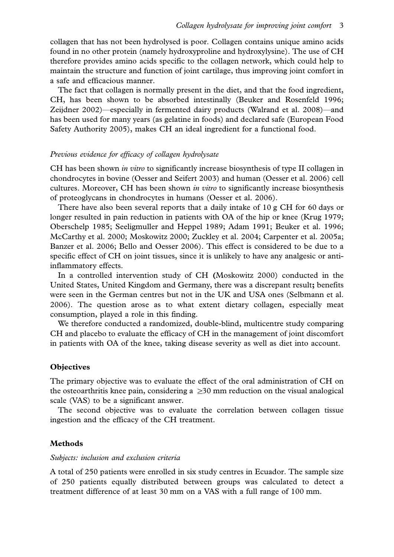collagen that has not been hydrolysed is poor. Collagen contains unique amino acids found in no other protein (namely hydroxyproline and hydroxylysine). The use of CH therefore provides amino acids specific to the collagen network, which could help to maintain the structure and function of joint cartilage, thus improving joint comfort in a safe and efficacious manner.

The fact that collagen is normally present in the diet, and that the food ingredient, CH, has been shown to be absorbed intestinally (Beuker and Rosenfeld 1996; Zeijdner 2002)—especially in fermented dairy products (Walrand et al. 2008)—and has been used for many years (as gelatine in foods) and declared safe (European Food Safety Authority 2005), makes CH an ideal ingredient for a functional food.

#### Previous evidence for efficacy of collagen hydrolysate

CH has been shown *in vitro* to significantly increase biosynthesis of type II collagen in chondrocytes in bovine (Oesser and Seifert 2003) and human (Oesser et al. 2006) cell cultures. Moreover, CH has been shown *in vitro* to significantly increase biosynthesis of proteoglycans in chondrocytes in humans (Oesser et al. 2006).

There have also been several reports that a daily intake of 10 g CH for 60 days or longer resulted in pain reduction in patients with OA of the hip or knee (Krug 1979; Oberschelp 1985; Seeligmuller and Heppel 1989; Adam 1991; Beuker et al. 1996; McCarthy et al. 2000; Moskowitz 2000; Zuckley et al. 2004; Carpenter et al. 2005a; Banzer et al. 2006; Bello and Oesser 2006). This effect is considered to be due to a specific effect of CH on joint tissues, since it is unlikely to have any analgesic or antiinflammatory effects.

In a controlled intervention study of CH (Moskowitz 2000) conducted in the United States, United Kingdom and Germany, there was a discrepant result; benefits were seen in the German centres but not in the UK and USA ones (Selbmann et al. 2006). The question arose as to what extent dietary collagen, especially meat consumption, played a role in this finding.

We therefore conducted a randomized, double-blind, multicentre study comparing CH and placebo to evaluate the efficacy of CH in the management of joint discomfort in patients with OA of the knee, taking disease severity as well as diet into account.

#### **Objectives**

The primary objective was to evaluate the effect of the oral administration of CH on the osteoarthritis knee pain, considering a  $\geq 30$  mm reduction on the visual analogical scale (VAS) to be a significant answer.

The second objective was to evaluate the correlation between collagen tissue ingestion and the efficacy of the CH treatment.

#### Methods

#### Subjects: inclusion and exclusion criteria

A total of 250 patients were enrolled in six study centres in Ecuador. The sample size of 250 patients equally distributed between groups was calculated to detect a treatment difference of at least 30 mm on a VAS with a full range of 100 mm.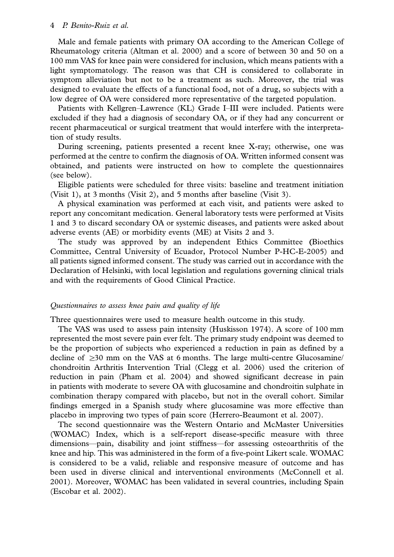#### 4 P. Benito-Ruiz et al.

Male and female patients with primary OA according to the American College of Rheumatology criteria (Altman et al. 2000) and a score of between 30 and 50 on a 100 mm VAS for knee pain were considered for inclusion, which means patients with a light symptomatology. The reason was that CH is considered to collaborate in symptom alleviation but not to be a treatment as such. Moreover, the trial was designed to evaluate the effects of a functional food, not of a drug, so subjects with a low degree of OA were considered more representative of the targeted population.

Patients with Kellgren-Lawrence (KL) Grade I-III were included. Patients were excluded if they had a diagnosis of secondary OA, or if they had any concurrent or recent pharmaceutical or surgical treatment that would interfere with the interpretation of study results.

During screening, patients presented a recent knee X-ray; otherwise, one was performed at the centre to confirm the diagnosis of OA. Written informed consent was obtained, and patients were instructed on how to complete the questionnaires (see below).

Eligible patients were scheduled for three visits: baseline and treatment initiation (Visit 1), at 3 months (Visit 2), and 5 months after baseline (Visit 3).

A physical examination was performed at each visit, and patients were asked to report any concomitant medication. General laboratory tests were performed at Visits 1 and 3 to discard secondary OA or systemic diseases, and patients were asked about adverse events (AE) or morbidity events (ME) at Visits 2 and 3.

The study was approved by an independent Ethics Committee (Bioethics Committee, Central University of Ecuador, Protocol Number P-HC-E-2005) and all patients signed informed consent. The study was carried out in accordance with the Declaration of Helsinki, with local legislation and regulations governing clinical trials and with the requirements of Good Clinical Practice.

#### Questionnaires to assess knee pain and quality of life

Three questionnaires were used to measure health outcome in this study.

The VAS was used to assess pain intensity (Huskisson 1974). A score of 100 mm represented the most severe pain ever felt. The primary study endpoint was deemed to be the proportion of subjects who experienced a reduction in pain as defined by a decline of  $\geq$ 30 mm on the VAS at 6 months. The large multi-centre Glucosamine/ chondroitin Arthritis Intervention Trial (Clegg et al. 2006) used the criterion of reduction in pain (Pham et al. 2004) and showed significant decrease in pain in patients with moderate to severe OA with glucosamine and chondroitin sulphate in combination therapy compared with placebo, but not in the overall cohort. Similar findings emerged in a Spanish study where glucosamine was more effective than placebo in improving two types of pain score (Herrero-Beaumont et al. 2007).

The second questionnaire was the Western Ontario and McMaster Universities (WOMAC) Index, which is a self-report disease-specific measure with three dimensions—pain, disability and joint stiffness—for assessing osteoarthritis of the knee and hip. This was administered in the form of a five-point Likert scale. WOMAC is considered to be a valid, reliable and responsive measure of outcome and has been used in diverse clinical and interventional environments (McConnell et al. 2001). Moreover, WOMAC has been validated in several countries, including Spain (Escobar et al. 2002).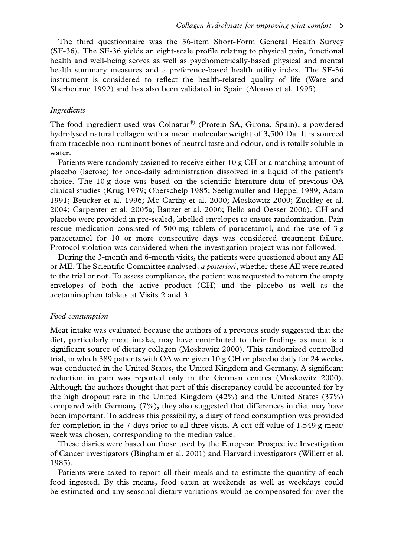The third questionnaire was the 36-item Short-Form General Health Survey (SF-36). The SF-36 yields an eight-scale profile relating to physical pain, functional health and well-being scores as well as psychometrically-based physical and mental health summary measures and a preference-based health utility index. The SF-36 instrument is considered to reflect the health-related quality of life (Ware and Sherbourne 1992) and has also been validated in Spain (Alonso et al. 1995).

#### Ingredients

The food ingredient used was Colnatur<sup>®</sup> (Protein SA, Girona, Spain), a powdered hydrolysed natural collagen with a mean molecular weight of 3,500 Da. It is sourced from traceable non-ruminant bones of neutral taste and odour, and is totally soluble in water.

Patients were randomly assigned to receive either 10 g CH or a matching amount of placebo (lactose) for once-daily administration dissolved in a liquid of the patient's choice. The 10 g dose was based on the scientific literature data of previous OA clinical studies (Krug 1979; Oberschelp 1985; Seeligmuller and Heppel 1989; Adam 1991; Beucker et al. 1996; Mc Carthy et al. 2000; Moskowitz 2000; Zuckley et al. 2004; Carpenter et al. 2005a; Banzer et al. 2006; Bello and Oesser 2006). CH and placebo were provided in pre-sealed, labelled envelopes to ensure randomization. Pain rescue medication consisted of 500 mg tablets of paracetamol, and the use of 3 g paracetamol for 10 or more consecutive days was considered treatment failure. Protocol violation was considered when the investigation project was not followed.

During the 3-month and 6-month visits, the patients were questioned about any AE or ME. The Scientific Committee analysed, a posteriori, whether these AE were related to the trial or not. To assess compliance, the patient was requested to return the empty envelopes of both the active product (CH) and the placebo as well as the acetaminophen tablets at Visits 2 and 3.

#### Food consumption

Meat intake was evaluated because the authors of a previous study suggested that the diet, particularly meat intake, may have contributed to their findings as meat is a significant source of dietary collagen (Moskowitz 2000). This randomized controlled trial, in which 389 patients with OA were given 10 g CH or placebo daily for 24 weeks, was conducted in the United States, the United Kingdom and Germany. A significant reduction in pain was reported only in the German centres (Moskowitz 2000). Although the authors thought that part of this discrepancy could be accounted for by the high dropout rate in the United Kingdom (42%) and the United States (37%) compared with Germany (7%), they also suggested that differences in diet may have been important. To address this possibility, a diary of food consumption was provided for completion in the 7 days prior to all three visits. A cut-off value of  $1,549$  g meat/ week was chosen, corresponding to the median value.

These diaries were based on those used by the European Prospective Investigation of Cancer investigators (Bingham et al. 2001) and Harvard investigators (Willett et al. 1985).

Patients were asked to report all their meals and to estimate the quantity of each food ingested. By this means, food eaten at weekends as well as weekdays could be estimated and any seasonal dietary variations would be compensated for over the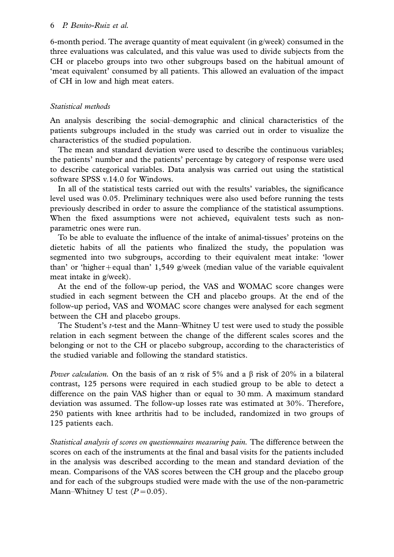6-month period. The average quantity of meat equivalent (in  $g/$ week) consumed in the three evaluations was calculated, and this value was used to divide subjects from the CH or placebo groups into two other subgroups based on the habitual amount of 'meat equivalent' consumed by all patients. This allowed an evaluation of the impact of CH in low and high meat eaters.

# Statistical methods

An analysis describing the social-demographic and clinical characteristics of the patients subgroups included in the study was carried out in order to visualize the characteristics of the studied population.

The mean and standard deviation were used to describe the continuous variables; the patients' number and the patients' percentage by category of response were used to describe categorical variables. Data analysis was carried out using the statistical software SPSS v.14.0 for Windows.

In all of the statistical tests carried out with the results' variables, the significance level used was 0.05. Preliminary techniques were also used before running the tests previously described in order to assure the compliance of the statistical assumptions. When the fixed assumptions were not achieved, equivalent tests such as nonparametric ones were run.

To be able to evaluate the influence of the intake of animal-tissues' proteins on the dietetic habits of all the patients who finalized the study, the population was segmented into two subgroups, according to their equivalent meat intake: 'lower than' or 'higher+equal than' 1,549 g/week (median value of the variable equivalent meat intake in g/week).

At the end of the follow-up period, the VAS and WOMAC score changes were studied in each segment between the CH and placebo groups. At the end of the follow-up period, VAS and WOMAC score changes were analysed for each segment between the CH and placebo groups.

The Student's t-test and the Mann-Whitney U test were used to study the possible relation in each segment between the change of the different scales scores and the belonging or not to the CH or placebo subgroup, according to the characteristics of the studied variable and following the standard statistics.

*Power calculation.* On the basis of an  $\alpha$  risk of 5% and a  $\beta$  risk of 20% in a bilateral contrast, 125 persons were required in each studied group to be able to detect a difference on the pain VAS higher than or equal to 30 mm. A maximum standard deviation was assumed. The follow-up losses rate was estimated at 30%. Therefore, 250 patients with knee arthritis had to be included, randomized in two groups of 125 patients each.

Statistical analysis of scores on questionnaires measuring pain. The difference between the scores on each of the instruments at the final and basal visits for the patients included in the analysis was described according to the mean and standard deviation of the mean. Comparisons of the VAS scores between the CH group and the placebo group and for each of the subgroups studied were made with the use of the non-parametric Mann–Whitney U test  $(P=0.05)$ .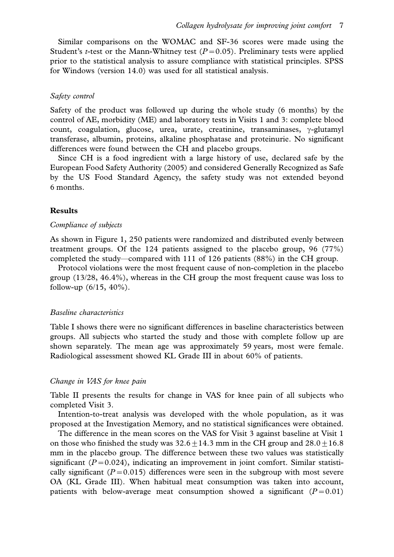Similar comparisons on the WOMAC and SF-36 scores were made using the Student's *t*-test or the Mann-Whitney test ( $P=0.05$ ). Preliminary tests were applied prior to the statistical analysis to assure compliance with statistical principles. SPSS for Windows (version 14.0) was used for all statistical analysis.

#### Safety control

Safety of the product was followed up during the whole study (6 months) by the control of AE, morbidity (ME) and laboratory tests in Visits 1 and 3: complete blood count, coagulation, glucose, urea, urate, creatinine, transaminases,  $\gamma$ -glutamyl transferase, albumin, proteins, alkaline phosphatase and proteinurie. No significant differences were found between the CH and placebo groups.

Since CH is a food ingredient with a large history of use, declared safe by the European Food Safety Authority (2005) and considered Generally Recognized as Safe by the US Food Standard Agency, the safety study was not extended beyond 6 months.

#### Results

#### Compliance of subjects

As shown in Figure 1, 250 patients were randomized and distributed evenly between treatment groups. Of the 124 patients assigned to the placebo group, 96 (77%) completed the study—compared with 111 of 126 patients (88%) in the CH group.

Protocol violations were the most frequent cause of non-completion in the placebo group (13/28, 46.4%), whereas in the CH group the most frequent cause was loss to follow-up  $(6/15, 40\%)$ .

#### Baseline characteristics

Table I shows there were no significant differences in baseline characteristics between groups. All subjects who started the study and those with complete follow up are shown separately. The mean age was approximately 59 years, most were female. Radiological assessment showed KL Grade III in about 60% of patients.

#### Change in VAS for knee pain

Table II presents the results for change in VAS for knee pain of all subjects who completed Visit 3.

Intention-to-treat analysis was developed with the whole population, as it was proposed at the Investigation Memory, and no statistical significances were obtained.

The difference in the mean scores on the VAS for Visit 3 against baseline at Visit 1 on those who finished the study was  $32.6\pm14.3$  mm in the CH group and  $28.0\pm16.8$ mm in the placebo group. The difference between these two values was statistically significant  $(P=0.024)$ , indicating an improvement in joint comfort. Similar statistically significant ( $P=0.015$ ) differences were seen in the subgroup with most severe OA (KL Grade III). When habitual meat consumption was taken into account, patients with below-average meat consumption showed a significant ( $P=0.01$ )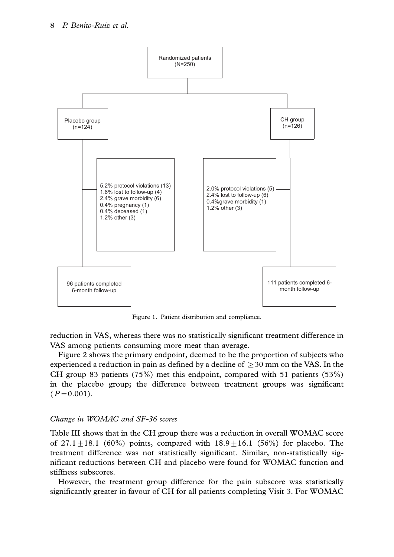

Figure 1. Patient distribution and compliance.

reduction in VAS, whereas there was no statistically significant treatment difference in VAS among patients consuming more meat than average.

Figure 2 shows the primary endpoint, deemed to be the proportion of subjects who experienced a reduction in pain as defined by a decline of  $\geq$ 30 mm on the VAS. In the CH group 83 patients (75%) met this endpoint, compared with 51 patients (53%) in the placebo group; the difference between treatment groups was significant  $(P=0.001)$ .

## Change in WOMAC and SF-36 scores

Table III shows that in the CH group there was a reduction in overall WOMAC score of  $27.1+18.1$  (60%) points, compared with  $18.9+16.1$  (56%) for placebo. The treatment difference was not statistically significant. Similar, non-statistically significant reductions between CH and placebo were found for WOMAC function and stiffness subscores.

However, the treatment group difference for the pain subscore was statistically significantly greater in favour of CH for all patients completing Visit 3. For WOMAC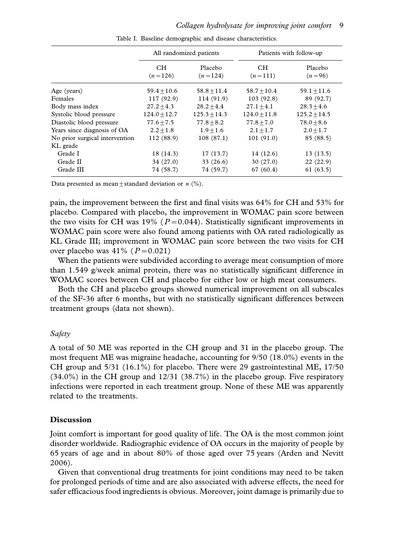|                                |                  | All randomized patients | Patients with follow-up |                     |  |  |  |
|--------------------------------|------------------|-------------------------|-------------------------|---------------------|--|--|--|
|                                | CH.<br>$(n=126)$ | Placebo<br>$(n=124)$    | CH.<br>$(n=111)$        | Placebo<br>$(n=96)$ |  |  |  |
| Age (years)                    | $59.4 + 10.6$    | $58.8 + 11.4$           | $58.7 + 10.4$           | $59.1 + 11.6$       |  |  |  |
| Females                        | 117 (92.9)       | 114 (91.9)              | 103(92.8)               | 89 (92.7)           |  |  |  |
| Body mass index                | $27.2 + 4.3$     | $28.2 + 4.4$            | $27.1 + 4.1$            | $28.3 + 4.6$        |  |  |  |
| Systolic blood pressure        | $124.0 + 12.7$   | $125.3 + 14.3$          | $124.0 + 11.8$          | $125.2 + 14.5$      |  |  |  |
| Diastolic blood pressure       | $77.6 + 7.5$     | $77.8 + 8.2$            | $77.8 + 7.0$            | $78.0 + 8.6$        |  |  |  |
| Years since diagnosis of OA    | $2.2 + 1.8$      | $1.9 + 1.6$             | $2.1 + 1.7$             | $2.0 + 1.7$         |  |  |  |
| No prior surgical intervention | 112 (88.9)       | 108(87.1)               | 101(91.0)               | 85 (88.5)           |  |  |  |
| KL grade                       |                  |                         |                         |                     |  |  |  |
| Grade I                        | 18 (14.3)        | 17(13.7)                | 14 (12.6)               | 13(13.5)            |  |  |  |
| Grade II                       | 34 (27.0)        | 33(26.6)                | 30(27.0)                | 22 (22.9)           |  |  |  |
| Grade III                      | 74 (58.7)        | 74 (59.7)               | 67 (60.4)               | 61(63.5)            |  |  |  |

Table I. Baseline demographic and disease characteristics.

Data presented as mean  $\pm$  standard deviation or n (%).

pain, the improvement between the first and final visits was 64% for CH and 53% for placebo. Compared with placebo, the improvement in WOMAC pain score between the two visits for CH was 19% ( $P=0.044$ ). Statistically significant improvements in WOMAC pain score were also found among patients with OA rated radiologically as KL Grade III; improvement in WOMAC pain score between the two visits for CH over placebo was  $41\%$  ( $P=0.021$ )

When the patients were subdivided according to average meat consumption of more than 1.549 g/week animal protein, there was no statistically significant difference in WOMAC scores between CH and placebo for either low or high meat consumers.

Both the CH and placebo groups showed numerical improvement on all subscales of the SF-36 after 6 months, but with no statistically significant differences between treatment groups (data not shown).

## Safety

A total of 50 ME was reported in the CH group and 31 in the placebo group. The most frequent ME was migraine headache, accounting for 9/50 (18.0%) events in the CH group and 5/31 (16.1%) for placebo. There were 29 gastrointestinal ME, 17/50 (34.0%) in the CH group and 12/31 (38.7%) in the placebo group. Five respiratory infections were reported in each treatment group. None of these ME was apparently related to the treatments.

## Discussion

Joint comfort is important for good quality of life. The OA is the most common joint disorder worldwide. Radiographic evidence of OA occurs in the majority of people by 65 years of age and in about 80% of those aged over 75 years (Arden and Nevitt 2006).

Given that conventional drug treatments for joint conditions may need to be taken for prolonged periods of time and are also associated with adverse effects, the need for safer efficacious food ingredients is obvious. Moreover, joint damage is primarily due to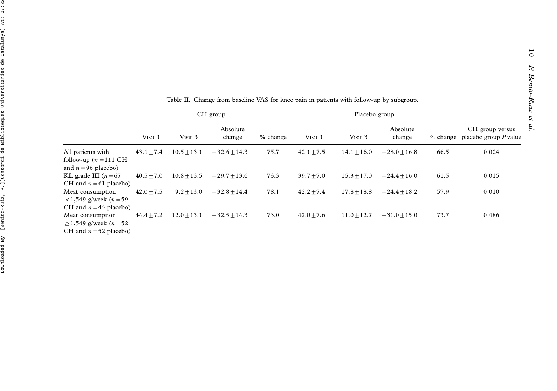|                                                                                                           | CH group     |               |                    |            | Placebo group |               |                    |      |                                                     |
|-----------------------------------------------------------------------------------------------------------|--------------|---------------|--------------------|------------|---------------|---------------|--------------------|------|-----------------------------------------------------|
|                                                                                                           | Visit 1      | Visit 3       | Absolute<br>change | $%$ change | Visit 1       | Visit 3       | Absolute<br>change |      | CH group versus<br>% change placebo group $P$ value |
| All patients with<br>follow-up $(n=111 \text{ CH})$<br>and $n = 96$ placebo)                              | $43.1 + 7.4$ | $10.5 + 13.1$ | $-32.6 + 14.3$     | 75.7       | $42.1 + 7.5$  | $14.1 + 16.0$ | $-28.0 + 16.8$     | 66.5 | 0.024                                               |
| KL grade III $(n=67)$<br>CH and $n = 61$ placebo)                                                         | $40.5 + 7.0$ | $10.8 + 13.5$ | $-29.7 + 13.6$     | 73.3       | $39.7 + 7.0$  | $15.3 + 17.0$ | $-24.4+16.0$       | 61.5 | 0.015                                               |
| Meat consumption<br>$1,549$ g/week (n = 59)                                                               | $42.0 + 7.5$ | $9.2 + 13.0$  | $-32.8 + 14.4$     | 78.1       | $42.2 + 7.4$  | $17.8 + 18.8$ | $-24.4+18.2$       | 57.9 | 0.010                                               |
| CH and $n = 44$ placebo)<br>Meat consumption<br>≥1,549 g/week ( <i>n</i> = 52<br>CH and $n = 52$ placebo) | $44.4 + 7.2$ | $12.0 + 13.1$ | $-32.5 + 14.3$     | 73.0       | $42.0 + 7.6$  | $11.0 + 12.7$ | $-31.0 + 15.0$     | 73.7 | 0.486                                               |

Table II. Change from baseline VAS for knee pain in patients with follow-up by subgroup.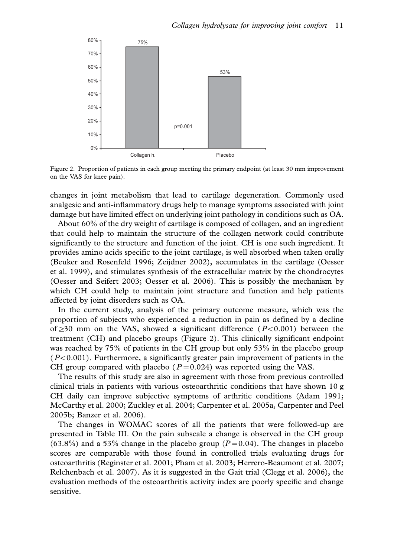

Figure 2. Proportion of patients in each group meeting the primary endpoint (at least 30 mm improvement on the VAS for knee pain).

changes in joint metabolism that lead to cartilage degeneration. Commonly used analgesic and anti-inflammatory drugs help to manage symptoms associated with joint damage but have limited effect on underlying joint pathology in conditions such as OA.

About 60% of the dry weight of cartilage is composed of collagen, and an ingredient that could help to maintain the structure of the collagen network could contribute significantly to the structure and function of the joint. CH is one such ingredient. It provides amino acids specific to the joint cartilage, is well absorbed when taken orally (Beuker and Rosenfeld 1996; Zeijdner 2002), accumulates in the cartilage (Oesser et al. 1999), and stimulates synthesis of the extracellular matrix by the chondrocytes (Oesser and Seifert 2003; Oesser et al. 2006). This is possibly the mechanism by which CH could help to maintain joint structure and function and help patients affected by joint disorders such as OA.

In the current study, analysis of the primary outcome measure, which was the proportion of subjects who experienced a reduction in pain as defined by a decline of  $\geq$ 30 mm on the VAS, showed a significant difference ( P<0.001) between the treatment (CH) and placebo groups (Figure 2). This clinically significant endpoint was reached by 75% of patients in the CH group but only 53% in the placebo group  $(P<0.001)$ . Furthermore, a significantly greater pain improvement of patients in the CH group compared with placebo ( $P=0.024$ ) was reported using the VAS.

The results of this study are also in agreement with those from previous controlled clinical trials in patients with various osteoarthritic conditions that have shown 10 g CH daily can improve subjective symptoms of arthritic conditions (Adam 1991; McCarthy et al. 2000; Zuckley et al. 2004; Carpenter et al. 2005a, Carpenter and Peel 2005b; Banzer et al. 2006).

The changes in WOMAC scores of all the patients that were followed-up are presented in Table III. On the pain subscale a change is observed in the CH group  $(63.8\%)$  and a 53% change in the placebo group  $(P=0.04)$ . The changes in placebo scores are comparable with those found in controlled trials evaluating drugs for osteoarthritis (Reginster et al. 2001; Pham et al. 2003; Herrero-Beaumont et al. 2007; Relchenbach et al. 2007). As it is suggested in the Gait trial (Clegg et al. 2006), the evaluation methods of the osteoarthritis activity index are poorly specific and change sensitive.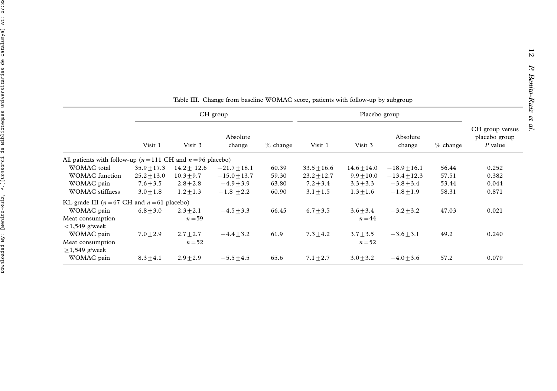12

|                                                                  | CH group      |               |                                  |       |                 |                               |                |            |                                               |
|------------------------------------------------------------------|---------------|---------------|----------------------------------|-------|-----------------|-------------------------------|----------------|------------|-----------------------------------------------|
|                                                                  | Visit 1       | Visit 3       | Absolute<br>change<br>$%$ change |       | Visit 1         | Absolute<br>Visit 3<br>change |                | $%$ change | CH group versus<br>placebo group<br>$P$ value |
| All patients with follow-up ( $n = 111$ CH and $n = 96$ placebo) |               |               |                                  |       |                 |                               |                |            |                                               |
| <b>WOMAC</b> total                                               | $35.9 + 17.3$ | $14.2 + 12.6$ | $-21.7+18.1$                     | 60.39 | $33.5 + 16.6$   | $14.6 + 14.0$                 | $-18.9 + 16.1$ | 56.44      | 0.252                                         |
| <b>WOMAC</b> function                                            | $25.2 + 13.0$ | $10.3 + 9.7$  | $-15.0 + 13.7$                   | 59.30 | $23.2 \pm 12.7$ | $9.9 + 10.0$                  | $-13.4 + 12.3$ | 57.51      | 0.382                                         |
| WOMAC pain                                                       | $7.6 + 3.5$   | $2.8 + 2.8$   | $-4.9+3.9$                       | 63.80 | $7.2 + 3.4$     | $3.3 + 3.3$                   | $-3.8 + 3.4$   | 53.44      | 0.044                                         |
| <b>WOMAC</b> stiffness                                           | $3.0 + 1.8$   | $1.2 + 1.3$   | $-1.8 + 2.2$                     | 60.90 | $3.1 + 1.5$     | $1.3 + 1.6$                   | $-1.8 + 1.9$   | 58.31      | 0.871                                         |
| KL grade III ( $n = 67$ CH and $n = 61$ placebo)                 |               |               |                                  |       |                 |                               |                |            |                                               |
| WOMAC pain                                                       | $6.8 + 3.0$   | $2.3 + 2.1$   | $-4.5 + 3.3$                     | 66.45 | $6.7 + 3.5$     | $3.6 + 3.4$                   | $-3.2 + 3.2$   | 47.03      | 0.021                                         |
| Meat consumption                                                 |               | $n = 59$      |                                  |       |                 | $n = 44$                      |                |            |                                               |
| $<$ 1,549 g/week                                                 |               |               |                                  |       |                 |                               |                |            |                                               |
| WOMAC pain                                                       | $7.0 + 2.9$   | $2.7 + 2.7$   | $-4.4 + 3.2$                     | 61.9  | $7.3 + 4.2$     | $3.7 + 3.5$                   | $-3.6 + 3.1$   | 49.2       | 0.240                                         |
| Meat consumption                                                 |               | $n = 52$      |                                  |       |                 | $n = 52$                      |                |            |                                               |
| $\geq$ 1,549 g/week                                              |               |               |                                  |       |                 |                               |                |            |                                               |
| WOMAC pain                                                       | $8.3 + 4.1$   | $2.9 + 2.9$   | $-5.5 + 4.5$                     | 65.6  | $7.1 + 2.7$     | $3.0 + 3.2$                   | $-4.0 + 3.6$   | 57.2       | 0.079                                         |
|                                                                  |               |               |                                  |       |                 |                               |                |            |                                               |

|  | Table III. Change from baseline WOMAC score, patients with follow-up by subgroup |  |  |  |  |  |  |  |  |  |  |
|--|----------------------------------------------------------------------------------|--|--|--|--|--|--|--|--|--|--|
|--|----------------------------------------------------------------------------------|--|--|--|--|--|--|--|--|--|--|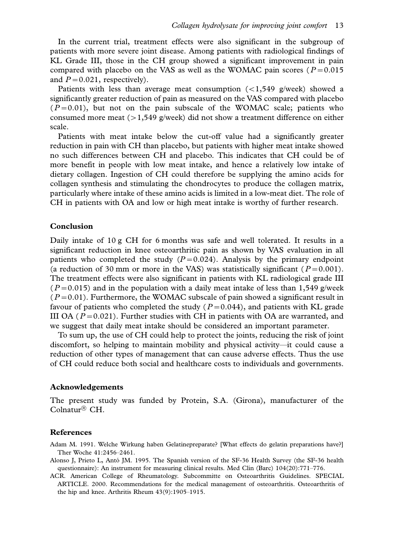In the current trial, treatment effects were also significant in the subgroup of patients with more severe joint disease. Among patients with radiological findings of KL Grade III, those in the CH group showed a significant improvement in pain compared with placebo on the VAS as well as the WOMAC pain scores ( $P=0.015$ ) and  $P=0.021$ , respectively).

Patients with less than average meat consumption  $\left\langle \langle 1,549 \rangle \right\rangle$  g/week) showed a significantly greater reduction of pain as measured on the VAS compared with placebo  $(P=0.01)$ , but not on the pain subscale of the WOMAC scale; patients who consumed more meat  $(>1,549)$  g/week) did not show a treatment difference on either scale.

Patients with meat intake below the cut-off value had a significantly greater reduction in pain with CH than placebo, but patients with higher meat intake showed no such differences between CH and placebo. This indicates that CH could be of more benefit in people with low meat intake, and hence a relatively low intake of dietary collagen. Ingestion of CH could therefore be supplying the amino acids for collagen synthesis and stimulating the chondrocytes to produce the collagen matrix, particularly where intake of these amino acids is limited in a low-meat diet. The role of CH in patients with OA and low or high meat intake is worthy of further research.

#### Conclusion

Daily intake of 10 g CH for 6 months was safe and well tolerated. It results in a significant reduction in knee osteoarthritic pain as shown by VAS evaluation in all patients who completed the study  $(P=0.024)$ . Analysis by the primary endpoint (a reduction of 30 mm or more in the VAS) was statistically significant ( $P=0.001$ ). The treatment effects were also significant in patients with KL radiological grade III ( $P=0.015$ ) and in the population with a daily meat intake of less than 1,549 g/week  $(P=0.01)$ . Furthermore, the WOMAC subscale of pain showed a significant result in favour of patients who completed the study ( $P=0.044$ ), and patients with KL grade III OA ( $P=0.021$ ). Further studies with CH in patients with OA are warranted, and we suggest that daily meat intake should be considered an important parameter.

To sum up, the use of CH could help to protect the joints, reducing the risk of joint discomfort, so helping to maintain mobility and physical activity—it could cause a reduction of other types of management that can cause adverse effects. Thus the use of CH could reduce both social and healthcare costs to individuals and governments.

### Acknowledgements

The present study was funded by Protein, S.A. (Girona), manufacturer of the Colnatur ${}^{\circledR}$  CH.

#### References

Adam M. 1991. Welche Wirkung haben Gelatinepreparate? [What effects do gelatin preparations have?] Ther Woche 41:2456-2461.

- Alonso J, Prieto L, Anto´ JM. 1995. The Spanish version of the SF-36 Health Survey (the SF-36 health questionnaire): An instrument for measuring clinical results. Med Clin (Barc) 104(20):771-776.
- ACR. American College of Rheumatology. Subcommitte on Osteoarthritis Guidelines. SPECIAL ARTICLE. 2000. Recommendations for the medical management of osteoarthritis. Osteoarthritis of the hip and knee. Arthritis Rheum 43(9):1905-1915.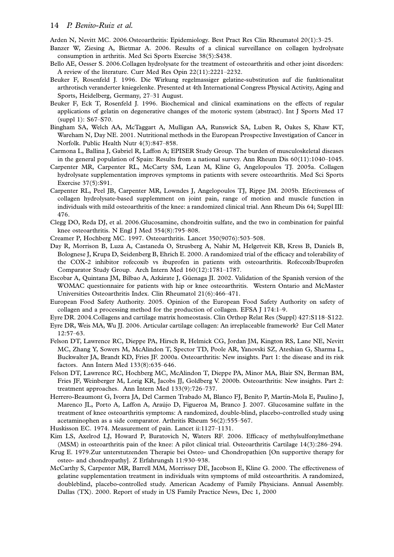### 14 P. Benito-Ruiz et al.

Arden N, Nevitt MC. 2006.Osteoarthritis: Epidemiology. Best Pract Res Clin Rheumatol 20(1):3-25.

- Banzer W, Ziesing A, Bietmar A. 2006. Results of a clinical surveillance on collagen hydrolysate consumption in arthritis. Med Sci Sports Exercise 38(5):S438.
- Bello AE, Oesser S. 2006.Collagen hydrolysate for the treatment of osteoarthritis and other joint disorders: A review of the literature. Curr Med Res Opin 22(11):2221-2232.
- Beuker F, Rosenfeld J. 1996. Die Wirkung regelmassiger gelatine-substitution auf die funktionalitat arthrotisch veranderter kniegelenke. Presented at 4th International Congress Physical Activity, Aging and Sports, Heidelberg, Germany, 27-31 August.
- Beuker F, Eck T, Rosenfeld J. 1996. Biochemical and clinical examinations on the effects of regular applications of gelatin on degenerative changes of the motoric system (abstract). Int J Sports Med 17 (suppl 1): S67-S70.
- Bingham SA, Welch AA, McTaggart A, Mulligan AA, Runswick SA, Luben R, Oakes S, Khaw KT, Wareham N, Day NE. 2001. Nutritional methods in the European Prospective Investigation of Cancer in Norfolk. Public Health Nutr 4(3):847-858.
- Carmona L, Ballina J, Gabriel R, Laffon A; EPISER Study Group. The burden of musculoskeletal diseases in the general population of Spain: Results from a national survey. Ann Rheum Dis 60(11):1040-1045.
- Carpenter MR, Carpenter RL, McCarty SM, Lean M, Kline G, Angelopoulos TJ. 2005a. Collagen hydrolysate supplementation improves symptoms in patients with severe osteoarthritis. Med Sci Sports Exercise 37(5):S91.
- Carpenter RL, Peel JB, Carpenter MR, Lowndes J, Angelopoulos TJ, Rippe JM. 2005b. Efectiveness of collagen hydrolysate-based supplemment on joint pain, range of motion and muscle function in individuals with mild osteoarthritis of the knee: a randomized clinical trial. Ann Rheum Dis 64; Suppl III: 476.
- Clegg DO, Reda DJ, et al. 2006.Glucosamine, chondroitin sulfate, and the two in combination for painful knee osteoarthritis. N Engl J Med 354(8):795-808.
- Creamer P, Hochberg MC. 1997. Osteoarthritis. Lancet 350(9076):503-508.
- Day R, Morrison B, Luza A, Castaneda O, Strusberg A, Nahir M, Helgetveit KB, Kress B, Daniels B, Bolognese J, Krupa D, Seidenberg B, Ehrich E. 2000. A randomized trial of the efficacy and tolerability of the COX-2 inhibitor rofecoxib vs ibuprofen in patients with osteoarthritis. Rofecoxib/Ibuprofen Comparator Study Group. Arch Intern Med 160(12):1781-1787.
- Escobar A, Quintana JM, Bilbao A, Azkárate J, Güenaga JI. 2002. Validation of the Spanish version of the WOMAC questionnaire for patients with hip or knee osteoarthritis. Western Ontario and McMaster Universities Osteoarthritis Index. Clin Rheumatol 21(6):466-471.
- European Food Safety Authority. 2005. Opinion of the European Food Safety Authority on safety of collagen and a processing method for the production of collagen. EFSA J 174:1-9.
- Eyre DR. 2004.Collagens and cartilage matrix homeostasis. Clin Orthop Relat Res (Suppl) 427:S118-S122.
- Eyre DR, Weis MA, Wu JJ. 2006. Articular cartilage collagen: An irreplaceable framework? Eur Cell Mater 12:57-63.
- Felson DT, Lawrence RC, Dieppe PA, Hirsch R, Helmick CG, Jordan JM, Kington RS, Lane NE, Nevitt MC, Zhang Y, Sowers M, McAlindon T, Spector TD, Poole AR, Yanovski SZ, Ateshian G, Sharma L, Buckwalter JA, Brandt KD, Fries JF. 2000a. Osteoarthritis: New insights. Part 1: the disease and its risk factors. Ann Intern Med 133(8):635-646.
- Felson DT, Lawrence RC, Hochberg MC, McAlindon T, Dieppe PA, Minor MA, Blair SN, Berman BM, Fries JF, Weinberger M, Lorig KR, Jacobs JJ, Goldberg V. 2000b. Osteoarthritis: New insights. Part 2: treatment approaches. Ann Intern Med 133(9):726-737.
- Herrero-Beaumont G, Ivorra JA, Del Carmen Trabado M, Blanco FJ, Benito P, Martín-Mola E, Paulino J, Marenco JL, Porto A, Laffon A, Araújo D, Figueroa M, Branco J. 2007. Glucosamine sulfate in the treatment of knee osteoarthritis symptoms: A randomized, double-blind, placebo-controlled study using acetaminophen as a side comparator. Arthritis Rheum 56(2):555-567.
- Huskisson EC. 1974. Measurement of pain. Lancet ii:1127-1131.
- Kim LS, Axelrod LJ, Howard P, Buratovich N, Waters RF. 2006. Efficacy of methylsulfonylmethane (MSM) in osteoarthritis pain of the knee: A pilot clinical trial. Osteoarthritis Cartilage 14(3):286-294.
- Krug E. 1979.Zur unterstutzenden Therapie bei Osteo- und Chondropathien [On supportive therapy for osteo- and chondropathy]. Z Erfahrungsh 11:930-938.
- McCarthy S, Carpenter MR, Barrell MM, Morrissey DE, Jacobson E, Kline G. 2000. The effectiveness of gelatine supplementation treatment in individuals witn symptoms of mild osteoarthritis. A randomized, doubleblind, placebo-controlled study. American Academy of Family Physicians. Annual Assembly. Dallas (TX). 2000. Report of study in US Family Practice News, Dec 1, 2000